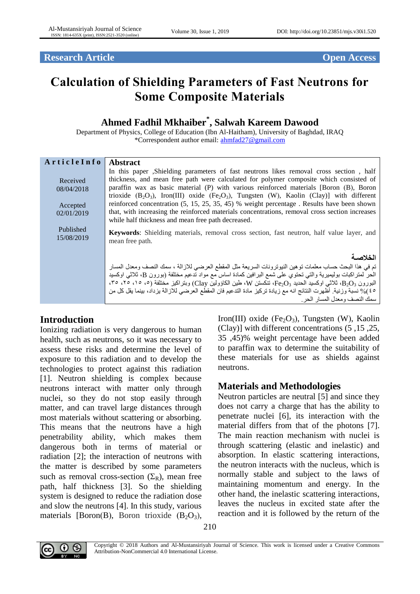**Research Article Open Access** 

# **Calculation of Shielding Parameters of Fast Neutrons for Some Composite Materials**

# **Ahmed Fadhil Mkhaiber\* , Salwah Kareem Dawood**

Department of Physics, College of Education (Ibn Al-Haitham), University of Baghdad, IRAQ \*Correspondent author email: [ahmfad27@gmail.com](mailto:ahmfad27@gmail.com)

| ArticleInfo | <b>Abstract</b>                                                                                                      |
|-------------|----------------------------------------------------------------------------------------------------------------------|
|             | In this paper, Shielding parameters of fast neutrons likes removal cross section, half                               |
| Received    | thickness, and mean free path were calculated for polymer composite which consisted of                               |
| 08/04/2018  | paraffin wax as basic material (P) with various reinforced materials [Boron (B), Boron                               |
|             | trioxide $(B_2O_3)$ , Iron(III) oxide (Fe <sub>2</sub> O <sub>3</sub> ), Tungsten (W), Kaolin (Clay)] with different |
| Accepted    | reinforced concentration (5, 15, 25, 35, 45) % weight percentage. Results have been shown                            |
| 02/01/2019  | that, with increasing the reinforced materials concentrations, removal cross section increases                       |
|             | while half thickness and mean free path decreased.                                                                   |
| Published   | <b>Keywords:</b> Shielding materials, removal cross section, fast neutron, half value layer, and                     |
| 15/08/2019  | mean free path.                                                                                                      |
|             |                                                                                                                      |
|             | الخلاصة                                                                                                              |
|             | تم في هذا البحث حساب معلمات توهين النيوترونات السريعة مثل المقطع العرضي للازالة ، سمك النصف ومعدل المسار             |
|             | الحر لمتراكبات بوليميرية والتي تحتوي على شمع البرافين كمادة اساس مع مواد تدعيم مختلفة (بورون B، ثلاثي اوكسيد         |
|             | (82 م قاد ندام دون د $\rm{B}_{2}O_{3}$ ، تأكستن W، طين الكاؤولين Clay) وبتر اكبر مختلفة (٥، ١٥، ٢٥، ٣٥، ٣٥، ٢٠، ٢٥،  |
|             | ٤٥)% نسبة وزنية. أظهرت النتائج انه مع زيادة تركيز مادة التدعيم فان المقطع العرضي للازالة يزداد، بينما يقل كل من      |
|             | سمك النصف ومعدل المسار الحر                                                                                          |

# **Introduction**

Ionizing radiation is very dangerous to human health, such as neutrons, so it was necessary to assess these risks and determine the level of exposure to this radiation and to develop the technologies to protect against this radiation [1]. Neutron shielding is complex because neutrons interact with matter only through nuclei, so they do not stop easily through matter, and can travel large distances through most materials without scattering or absorbing. This means that the neutrons have a high penetrability ability, which makes them dangerous both in terms of material or radiation [2]; the interaction of neutrons with the matter is described by some parameters such as removal cross-section  $(\Sigma_R)$ , mean free path, half thickness [3]. So the shielding system is designed to reduce the radiation dose and slow the neutrons [4]. In this study, various materials [Boron(B), Boron trioxide  $(B_2O_3)$ ,

Iron(III) oxide (Fe<sub>2</sub>O<sub>3</sub>), Tungsten (W), Kaolin (Clay)] with different concentrations (5 ,15 ,25, 35 ,45)% weight percentage have been added to paraffin wax to determine the suitability of these materials for use as shields against neutrons.

# **Materials and Methodologies**

Neutron particles are neutral [5] and since they does not carry a charge that has the ability to penetrate nuclei [6], its interaction with the material differs from that of the photons [7]. The main reaction mechanism with nuclei is through scattering (elastic and inelastic) and absorption. In elastic scattering interactions, the neutron interacts with the nucleus, which is normally stable and subject to the laws of maintaining momentum and energy. In the other hand, the inelastic scattering interactions, leaves the nucleus in excited state after the reaction and it is followed by the return of the



Copyright © 2018 Authors and Al-Mustansiriyah Journal of Science. This work is licensed under a Creative Commons Attribution-NonCommercial 4.0 International License.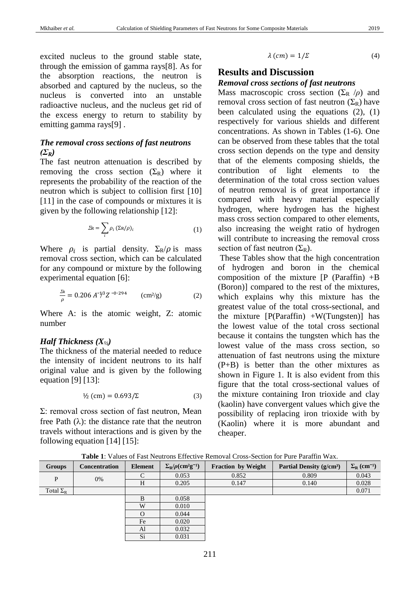excited nucleus to the ground stable state, through the emission of gamma rays[8]. As for the absorption reactions, the neutron is absorbed and captured by the nucleus, so the nucleus is converted into an unstable radioactive nucleus, and the nucleus get rid of the excess energy to return to stability by emitting gamma rays[9] .

#### *The removal cross sections of fast neutrons (ΣR)*

The fast neutron attenuation is described by removing the cross section  $(\Sigma_R)$  where it represents the probability of the reaction of the neutron which is subject to collision first [10] [11] in the case of compounds or mixtures it is given by the following relationship [12]:

$$
\Sigma \mathbf{R} = \sum_{i} \rho_i \left( \Sigma \mathbf{R} / \rho \right)_i \tag{1}
$$

Where  $\rho_i$  is partial density.  $\Sigma_R/\rho$  is mass removal cross section, which can be calculated for any compound or mixture by the following experimental equation [6]:

$$
\frac{\Sigma R}{\rho} = 0.206 A^{-1/3} Z^{-0.294} \qquad (cm^2/g)
$$
 (2)

Where A: is the atomic weight, Z: atomic number

#### *Half Thickness (X½)*

The thickness of the material needed to reduce the intensity of incident neutrons to its half original value and is given by the following equation [9] [13]:

$$
\frac{1}{2} \text{ (cm)} = 0.693 / \Sigma \tag{3}
$$

Σ: removal cross section of fast neutron, Mean free Path  $(\lambda)$ : the distance rate that the neutron travels without interactions and is given by the following equation [14] [15]:

$$
\lambda \left( cm\right) =1/\Sigma \tag{4}
$$

## **Results and Discussion** *Removal cross sections of fast neutrons*

Mass macroscopic cross section  $(\Sigma_R / \rho)$  and removal cross section of fast neutron  $(\Sigma_R)$  have been calculated using the equations (2), (1) respectively for various shields and different concentrations. As shown in Tables (1-6). One can be observed from these tables that the total cross section depends on the type and density that of the elements composing shields, the contribution of light elements to the determination of the total cross section values of neutron removal is of great importance if compared with heavy material especially hydrogen, where hydrogen has the highest mass cross section compared to other elements, also increasing the weight ratio of hydrogen will contribute to increasing the removal cross section of fast neutron  $(\Sigma_R)$ .

These Tables show that the high concentration of hydrogen and boron in the chemical composition of the mixture  $[P$  (Paraffin)  $+B$ (Boron)] compared to the rest of the mixtures, which explains why this mixture has the greatest value of the total cross-sectional, and the mixture  $[P(Paraffin) + W(Tungsten)]$  has the lowest value of the total cross sectional because it contains the tungsten which has the lowest value of the mass cross section, so attenuation of fast neutrons using the mixture (P+B) is better than the other mixtures as shown in Figure 1. It is also evident from this figure that the total cross-sectional values of the mixture containing Iron trioxide and clay (kaolin) have convergent values which give the possibility of replacing iron trioxide with by (Kaolin) where it is more abundant and cheaper.

| Table 1. Vances of Fast Poundis Effective Refiloval Cross Bechoff for Fure Familii Way. |               |         |                                                    |                           |                                      |                                      |  |  |  |
|-----------------------------------------------------------------------------------------|---------------|---------|----------------------------------------------------|---------------------------|--------------------------------------|--------------------------------------|--|--|--|
| Groups                                                                                  | Concentration | Element | $\Sigma_R/\rho$ (cm <sup>2</sup> g <sup>-1</sup> ) | <b>Fraction by Weight</b> | Partial Density (g/cm <sup>3</sup> ) | $\Sigma_{\rm R}$ (cm <sup>-1</sup> ) |  |  |  |
| P                                                                                       | 0%            |         | 0.053                                              | 0.852                     | 0.809                                | 0.043                                |  |  |  |
|                                                                                         |               | H       | 0.205                                              | 0.147                     | 0.140                                | 0.028                                |  |  |  |
| Total $\Sigma_R$                                                                        |               |         |                                                    |                           |                                      | 0.071                                |  |  |  |
|                                                                                         |               | B       | 0.058                                              |                           |                                      |                                      |  |  |  |
|                                                                                         |               | W       | 0.010                                              |                           |                                      |                                      |  |  |  |
|                                                                                         |               |         | 0.044                                              |                           |                                      |                                      |  |  |  |
|                                                                                         |               | Fe      | 0.020                                              |                           |                                      |                                      |  |  |  |
|                                                                                         |               | Al      | 0.032                                              |                           |                                      |                                      |  |  |  |
|                                                                                         |               | Si      | 0.031                                              |                           |                                      |                                      |  |  |  |

**Table 1**: Values of Fast Neutrons Effective Removal Cross-Section for Pure Paraffin Wax.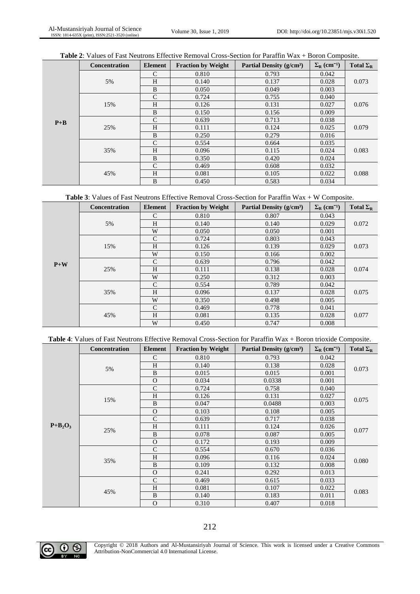|  | <b>Table 2:</b> Values of Fast Neutrons Effective Removal Cross-Section for Paraffin Wax $+$ Boron Composite. |  |  |  |  |  |  |  |  |  |  |
|--|---------------------------------------------------------------------------------------------------------------|--|--|--|--|--|--|--|--|--|--|
|--|---------------------------------------------------------------------------------------------------------------|--|--|--|--|--|--|--|--|--|--|

|         | <b>Concentration</b> | <b>Element</b> | <b>Fraction by Weight</b> | Partial Density $(g/cm3)$ | $\Sigma_{\rm R}$ (cm <sup>-1</sup> ) | Total $\Sigma_R$ |
|---------|----------------------|----------------|---------------------------|---------------------------|--------------------------------------|------------------|
|         |                      | $\mathcal{C}$  | 0.810                     | 0.793                     | 0.042                                |                  |
|         | 5%                   | H              | 0.140                     | 0.137                     | 0.028                                | 0.073            |
|         |                      | B              | 0.050                     | 0.049                     | 0.003                                |                  |
|         |                      | $\mathcal{C}$  | 0.724                     | 0.755                     | 0.040                                |                  |
|         | 15%                  | H              | 0.126                     | 0.131                     | 0.027                                | 0.076            |
|         |                      | B              | 0.150                     | 0.156                     | 0.009                                |                  |
| $P + B$ |                      | $\mathcal{C}$  | 0.639                     | 0.713                     | 0.038                                |                  |
|         | 25%                  | H              | 0.111                     | 0.124                     | 0.025                                | 0.079            |
|         |                      | B              | 0.250                     | 0.279                     | 0.016                                |                  |
|         |                      | $\mathcal{C}$  | 0.554                     | 0.664                     | 0.035                                |                  |
|         | 35%                  | H              | 0.096                     | 0.115                     | 0.024                                | 0.083            |
|         |                      | B              | 0.350                     | 0.420                     | 0.024                                |                  |
|         |                      | $\mathcal{C}$  | 0.469                     | 0.608                     | 0.032                                |                  |
|         | 45%                  | H              | 0.081                     | 0.105                     | 0.022                                | 0.088            |
|         |                      | B              | 0.450                     | 0.583                     | 0.034                                |                  |

| <b>Table 3:</b> Values of Fast Neutrons Effective Removal Cross-Section for Paraffin $Wax + W$ Composite. |  |
|-----------------------------------------------------------------------------------------------------------|--|
|-----------------------------------------------------------------------------------------------------------|--|

|       | <b>Concentration</b> | Element       | <b>Fraction by Weight</b> | Partial Density (g/cm <sup>3</sup> ) | $\Sigma_{\rm R}$ (cm <sup>-1</sup> ) | Total $\Sigma_R$ |
|-------|----------------------|---------------|---------------------------|--------------------------------------|--------------------------------------|------------------|
|       |                      | $\mathcal{C}$ | 0.810                     | 0.807                                | 0.043                                |                  |
|       | 5%                   | H             | 0.140                     | 0.140                                | 0.029                                | 0.072            |
|       |                      | W             | 0.050                     | 0.050                                | 0.001                                |                  |
|       |                      | $\mathcal{C}$ | 0.724                     | 0.803                                | 0.043                                |                  |
|       | 15%                  | H             | 0.126                     | 0.139                                | 0.029                                | 0.073            |
|       |                      | W             | 0.150                     | 0.166                                | 0.002                                |                  |
| $P+W$ |                      | $\mathcal{C}$ | 0.639                     | 0.796                                | 0.042                                |                  |
|       | 25%                  | H             | 0.111                     | 0.138                                | 0.028                                | 0.074            |
|       |                      | W             | 0.250                     | 0.312                                | 0.003                                |                  |
|       |                      | $\mathcal{C}$ | 0.554                     | 0.789                                | 0.042                                |                  |
|       | 35%                  | H             | 0.096                     | 0.137                                | 0.028                                | 0.075            |
|       |                      | W             | 0.350                     | 0.498                                | 0.005                                |                  |
|       |                      | $\mathcal{C}$ | 0.469                     | 0.778                                | 0.041                                |                  |
|       | 45%                  | H             | 0.081                     | 0.135                                | 0.028                                | 0.077            |
|       |                      | W             | 0.450                     | 0.747                                | 0.008                                |                  |

|  | <b>Table 4:</b> Values of Fast Neutrons Effective Removal Cross-Section for Paraffin $Wax + B$ or trioxide Composite. |  |  |
|--|-----------------------------------------------------------------------------------------------------------------------|--|--|
|  |                                                                                                                       |  |  |

|            | Concentration | <b>Element</b> | <b>Fraction by Weight</b> | Partial Density (g/cm <sup>3</sup> ) | $\Sigma_{\rm R}$ (cm <sup>-1</sup> ) | Total $\Sigma_R$ |
|------------|---------------|----------------|---------------------------|--------------------------------------|--------------------------------------|------------------|
|            |               | $\mathcal{C}$  | 0.810                     | 0.793                                | 0.042                                |                  |
|            |               | H              | 0.140                     | 0.138                                | 0.028                                | 0.073            |
|            | 5%            | B              | 0.015                     | 0.015                                | 0.001                                |                  |
|            |               | $\Omega$       | 0.034                     | 0.0338                               | 0.001                                |                  |
|            |               | $\mathcal{C}$  | 0.724                     | 0.758                                | 0.040                                |                  |
|            | 15%           | H              | 0.126                     | 0.131                                | 0.027                                | 0.075            |
|            |               | B              | 0.047                     | 0.0488                               | 0.003                                |                  |
|            |               | $\Omega$       | 0.103                     | 0.108                                | 0.005                                |                  |
|            |               | $\mathcal{C}$  | 0.639                     | 0.717                                | 0.038                                | 0.077            |
| $P+B_2O_3$ | 25%           | H              | 0.111                     | 0.124                                | 0.026                                |                  |
|            |               | B              | 0.078                     | 0.087                                | 0.005                                |                  |
|            |               | $\Omega$       | 0.172                     | 0.193                                | 0.009                                |                  |
|            |               | $\mathcal{C}$  | 0.554                     | 0.670                                | 0.036                                |                  |
|            | 35%           | H              | 0.096                     | 0.116                                | 0.024                                | 0.080            |
|            |               | B              | 0.109                     | 0.132                                | 0.008                                |                  |
|            |               | $\Omega$       | 0.241                     | 0.292                                | 0.013                                |                  |
|            |               | $\mathcal{C}$  | 0.469                     | 0.615                                | 0.033                                | 0.083            |
|            | 45%           | H              | 0.081                     | 0.107                                | 0.022                                |                  |
|            |               | B              | 0.140                     | 0.183                                | 0.011                                |                  |
|            |               | $\Omega$       | 0.310                     | 0.407                                | 0.018                                |                  |



Copyright © 2018 Authors and Al-Mustansiriyah Journal of Science. This work is licensed under a Creative Commons Attribution-NonCommercial 4.0 International License.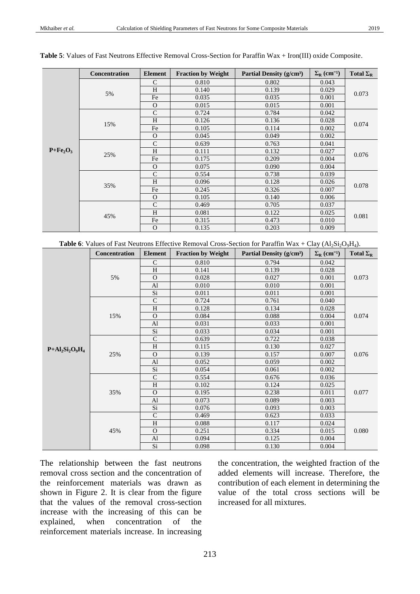|             | <b>Concentration</b> | <b>Element</b> | <b>Fraction by Weight</b> | Partial Density (g/cm <sup>3</sup> ) | $\Sigma_{\rm R}$ (cm <sup>-1</sup> ) | Total $\Sigma_R$ |
|-------------|----------------------|----------------|---------------------------|--------------------------------------|--------------------------------------|------------------|
|             |                      | $\mathcal{C}$  | 0.810                     | 0.802                                | 0.043                                |                  |
|             | 5%                   | H              | 0.140                     | 0.139                                | 0.029                                | 0.073            |
|             |                      | Fe             | 0.035                     | 0.035                                | 0.001                                |                  |
|             |                      | $\Omega$       | 0.015                     | 0.015                                | 0.001                                |                  |
|             |                      | $\mathcal{C}$  | 0.724                     | 0.784                                | 0.042                                |                  |
|             | 15%                  | H              | 0.126                     | 0.136                                | 0.028                                | 0.074            |
|             |                      | Fe             | 0.105                     | 0.114                                | 0.002                                |                  |
|             |                      | $\Omega$       | 0.045                     | 0.049                                | 0.002                                |                  |
|             |                      | $\mathcal{C}$  | 0.639                     | 0.763                                | 0.041                                |                  |
| $P + Fe2O3$ | 25%                  | H              | 0.111                     | 0.132                                | 0.027                                | 0.076            |
|             |                      | Fe             | 0.175                     | 0.209                                | 0.004                                |                  |
|             |                      | $\Omega$       | 0.075                     | 0.090                                | 0.004                                |                  |
|             |                      | $\mathcal{C}$  | 0.554                     | 0.738                                | 0.039                                |                  |
|             | 35%                  | H              | 0.096                     | 0.128                                | 0.026                                | 0.078            |
|             |                      | Fe             | 0.245                     | 0.326                                | 0.007                                |                  |
|             |                      | $\Omega$       | 0.105                     | 0.140                                | 0.006                                |                  |
|             |                      | $\mathcal{C}$  | 0.469                     | 0.705                                | 0.037                                | 0.081            |
|             | 45%                  | H              | 0.081                     | 0.122                                | 0.025                                |                  |
|             |                      | Fe             | 0.315                     | 0.473                                | 0.010                                |                  |
|             |                      | $\Omega$       | 0.135                     | 0.203                                | 0.009                                |                  |

| Table 5: Values of Fast Neutrons Effective Removal Cross-Section for Paraffin Wax + Iron(III) oxide Composite. |  |
|----------------------------------------------------------------------------------------------------------------|--|
|----------------------------------------------------------------------------------------------------------------|--|

**Table 6**: Values of Fast Neutrons Effective Removal Cross-Section for Paraffin Wax + Clay ( $AI_2Si_2O_9H_4$ ).

|                    | Concentration | <b>Element</b> | <b>Fraction by Weight</b> | Partial Density (g/cm <sup>3</sup> ) | $\Sigma_{\rm R}$ (cm <sup>-1</sup> ) | Total $\Sigma_R$ |
|--------------------|---------------|----------------|---------------------------|--------------------------------------|--------------------------------------|------------------|
|                    |               | C              | 0.810                     | 0.794                                | 0.042                                |                  |
|                    |               | H              | 0.141                     | 0.139                                | 0.028                                |                  |
|                    | 5%            | $\Omega$       | 0.028                     | 0.027                                | 0.001                                | 0.073            |
|                    |               | Al             | 0.010                     | 0.010                                | 0.001                                |                  |
|                    |               | Si             | 0.011                     | 0.011                                | 0.001                                |                  |
|                    |               | $\mathcal{C}$  | 0.724                     | 0.761                                | 0.040                                |                  |
|                    |               | H              | 0.128                     | 0.134                                | 0.028                                |                  |
|                    | 15%           | $\Omega$       | 0.084                     | 0.088                                | 0.004                                | 0.074            |
|                    |               | $\mathbf{A}$   | 0.031                     | 0.033                                | 0.001                                |                  |
|                    |               | Si             | 0.033                     | 0.034                                | 0.001                                |                  |
|                    |               | $\mathcal{C}$  | 0.639                     | 0.722                                | 0.038                                | 0.076            |
| $P+Al_2Si_2O_9H_4$ | 25%           | H              | 0.115                     | 0.130                                | 0.027                                |                  |
|                    |               | $\Omega$       | 0.139                     | 0.157                                | 0.007                                |                  |
|                    |               | Al             | 0.052                     | 0.059                                | 0.002                                |                  |
|                    |               | Si             | 0.054                     | 0.061                                | 0.002                                |                  |
|                    |               | $\mathcal{C}$  | 0.554                     | 0.676                                | 0.036                                |                  |
|                    |               | H              | 0.102                     | 0.124                                | 0.025                                |                  |
|                    | 35%           | $\Omega$       | 0.195                     | 0.238                                | 0.011                                | 0.077            |
|                    |               | Al             | 0.073                     | 0.089                                | 0.003                                |                  |
|                    |               | Si             | 0.076                     | 0.093                                | 0.003                                |                  |
|                    |               | $\mathcal{C}$  | 0.469                     | 0.623                                | 0.033                                |                  |
|                    |               | H              | 0.088                     | 0.117                                | 0.024                                | 0.080            |
|                    | 45%           | $\overline{O}$ | 0.251                     | 0.334                                | 0.015                                |                  |
|                    |               | $\mathbf{A}$   | 0.094                     | 0.125                                | 0.004                                |                  |
|                    |               | Si.            | 0.098                     | 0.130                                | 0.004                                |                  |

The relationship between the fast neutrons removal cross section and the concentration of the reinforcement materials was drawn as shown in Figure 2. It is clear from the figure that the values of the removal cross-section increase with the increasing of this can be explained, when concentration of the reinforcement materials increase. In increasing

the concentration, the weighted fraction of the added elements will increase. Therefore, the contribution of each element in determining the value of the total cross sections will be increased for all mixtures.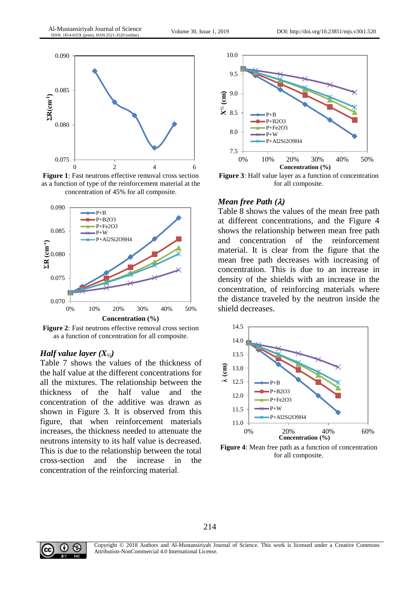

**Figure 1**: Fast neutrons effective removal cross section as a function of type of the reinforcement material at the concentration of 45% for all composite.



Figure 2: Fast neutrons effective removal cross section as a function of concentration for all composite.

#### *Half value layer*  $(X_{\nu_2})$

Table 7 shows the values of the thickness of the half value at the different concentrations for all the mixtures. The relationship between the thickness of the half value and the concentration of the additive was drawn as shown in Figure 3. It is observed from this figure, that when reinforcement materials increases, the thickness needed to attenuate the neutrons intensity to its half value is decreased. This is due to the relationship between the total cross-section and the increase in the concentration of the reinforcing material.



**Figure 3**: Half value layer as a function of concentration for all composite.

#### *Mean free Path ()*

Table 8 shows the values of the mean free path at different concentrations, and the Figure 4 shows the relationship between mean free path and concentration of the reinforcement material. It is clear from the figure that the mean free path decreases with increasing of concentration. This is due to an increase in density of the shields with an increase in the concentration, of reinforcing materials where the distance traveled by the neutron inside the shield decreases.



**Figure 4**: Mean free path as a function of concentration for all composite.